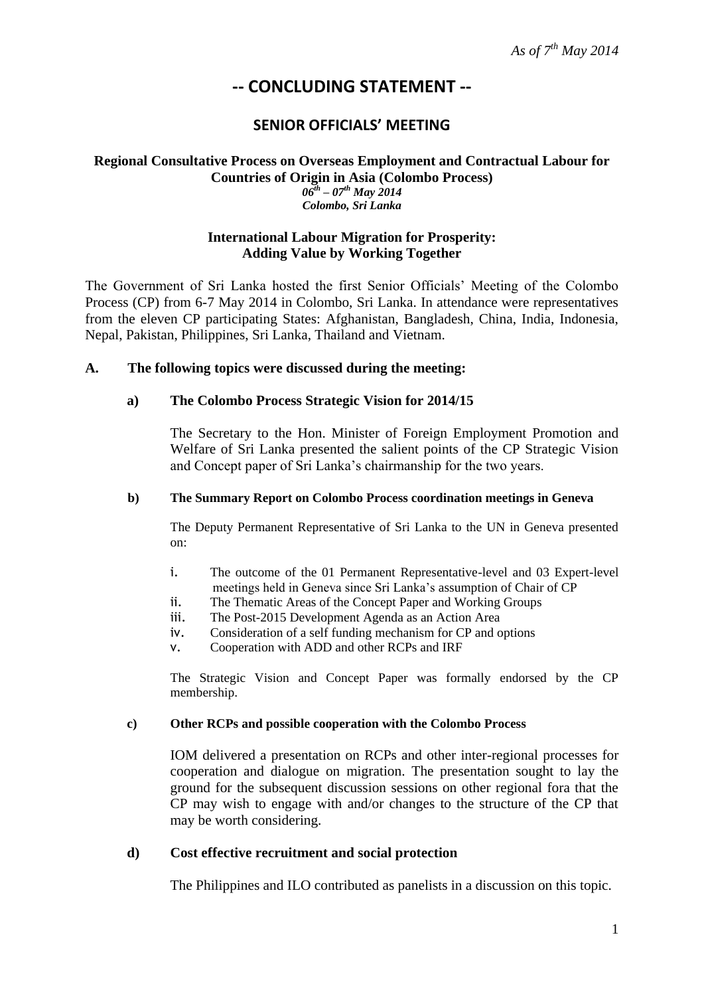*As of 7th May 2014*

# **-- CONCLUDING STATEMENT --**

## **SENIOR OFFICIALS' MEETING**

#### **Regional Consultative Process on Overseas Employment and Contractual Labour for Countries of Origin in Asia (Colombo Process)** *06th – 07th May 2014 Colombo, Sri Lanka*

## **International Labour Migration for Prosperity: Adding Value by Working Together**

The Government of Sri Lanka hosted the first Senior Officials' Meeting of the Colombo Process (CP) from 6-7 May 2014 in Colombo, Sri Lanka. In attendance were representatives from the eleven CP participating States: Afghanistan, Bangladesh, China, India, Indonesia, Nepal, Pakistan, Philippines, Sri Lanka, Thailand and Vietnam.

## **A. The following topics were discussed during the meeting:**

## **a) The Colombo Process Strategic Vision for 2014/15**

The Secretary to the Hon. Minister of Foreign Employment Promotion and Welfare of Sri Lanka presented the salient points of the CP Strategic Vision and Concept paper of Sri Lanka's chairmanship for the two years.

#### **b) The Summary Report on Colombo Process coordination meetings in Geneva**

The Deputy Permanent Representative of Sri Lanka to the UN in Geneva presented on:

- i. The outcome of the 01 Permanent Representative-level and 03 Expert-level meetings held in Geneva since Sri Lanka's assumption of Chair of CP
- ii. The Thematic Areas of the Concept Paper and Working Groups
- iii. The Post-2015 Development Agenda as an Action Area
- iv. Consideration of a self funding mechanism for CP and options
- v. Cooperation with ADD and other RCPs and IRF

The Strategic Vision and Concept Paper was formally endorsed by the CP membership.

#### **c) Other RCPs and possible cooperation with the Colombo Process**

IOM delivered a presentation on RCPs and other inter-regional processes for cooperation and dialogue on migration. The presentation sought to lay the ground for the subsequent discussion sessions on other regional fora that the CP may wish to engage with and/or changes to the structure of the CP that may be worth considering.

## **d) Cost effective recruitment and social protection**

The Philippines and ILO contributed as panelists in a discussion on this topic.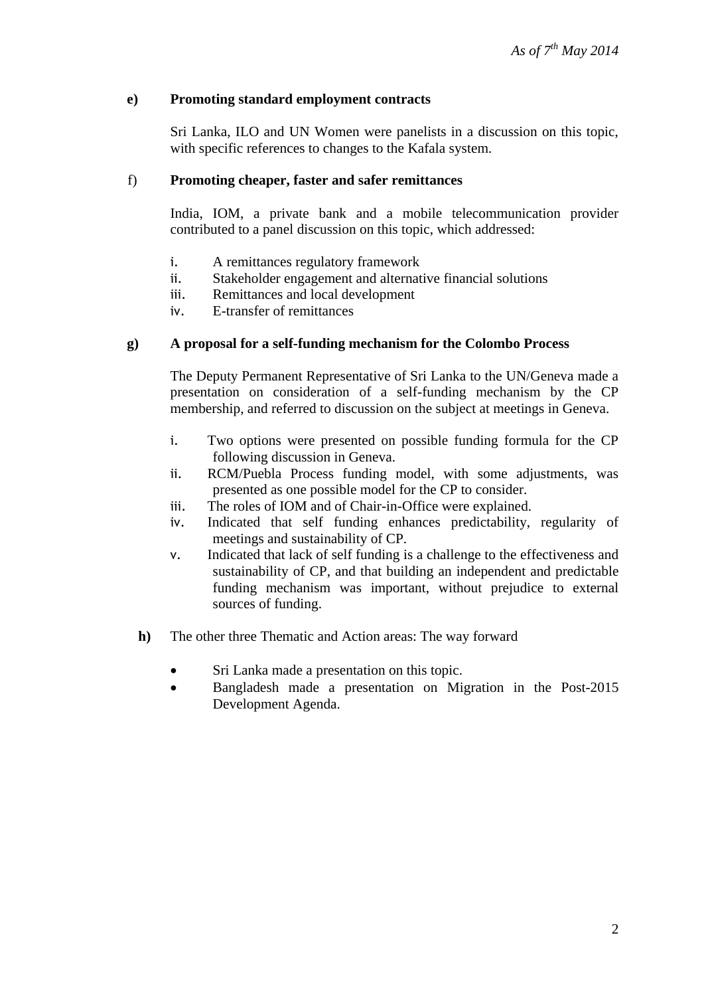## **e) Promoting standard employment contracts**

Sri Lanka, ILO and UN Women were panelists in a discussion on this topic, with specific references to changes to the Kafala system.

## f) **Promoting cheaper, faster and safer remittances**

India, IOM, a private bank and a mobile telecommunication provider contributed to a panel discussion on this topic, which addressed:

- i. A remittances regulatory framework
- ii. Stakeholder engagement and alternative financial solutions
- iii. Remittances and local development
- iv. E-transfer of remittances

## **g) A proposal for a self-funding mechanism for the Colombo Process**

The Deputy Permanent Representative of Sri Lanka to the UN/Geneva made a presentation on consideration of a self-funding mechanism by the CP membership, and referred to discussion on the subject at meetings in Geneva.

- i. Two options were presented on possible funding formula for the CP following discussion in Geneva.
- ii. RCM/Puebla Process funding model, with some adjustments, was presented as one possible model for the CP to consider.
- iii. The roles of IOM and of Chair-in-Office were explained.
- iv. Indicated that self funding enhances predictability, regularity of meetings and sustainability of CP.
- v. Indicated that lack of self funding is a challenge to the effectiveness and sustainability of CP, and that building an independent and predictable funding mechanism was important, without prejudice to external sources of funding.
- **h)** The other three Thematic and Action areas: The way forward
	- Sri Lanka made a presentation on this topic.
	- Bangladesh made a presentation on Migration in the Post-2015 Development Agenda.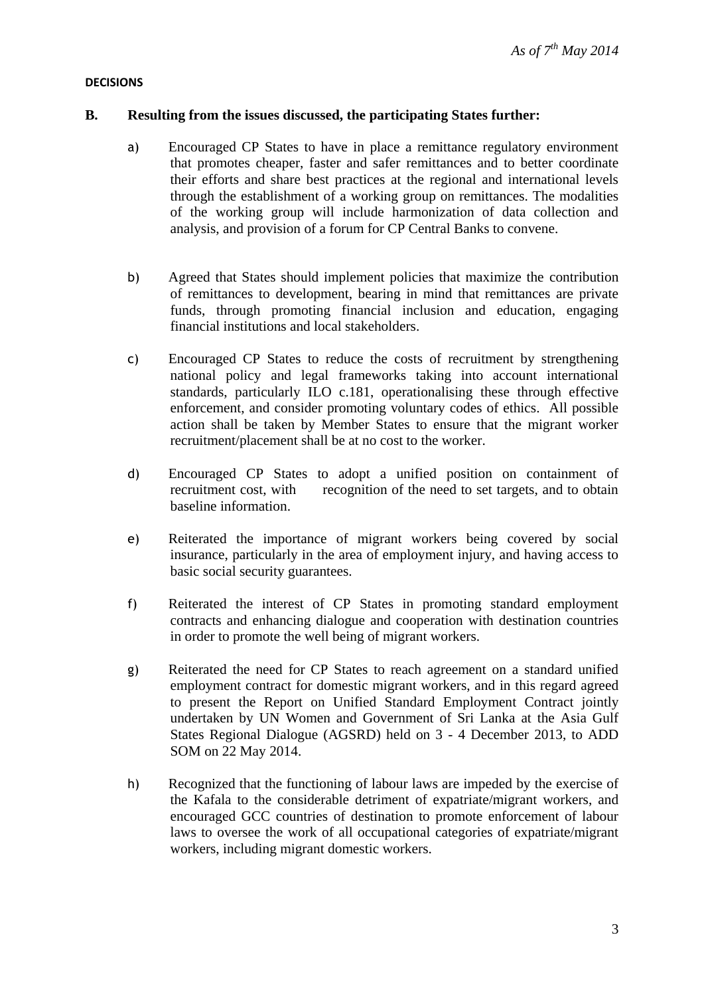## **DECISIONS**

## **B. Resulting from the issues discussed, the participating States further:**

- a) Encouraged CP States to have in place a remittance regulatory environment that promotes cheaper, faster and safer remittances and to better coordinate their efforts and share best practices at the regional and international levels through the establishment of a working group on remittances. The modalities of the working group will include harmonization of data collection and analysis, and provision of a forum for CP Central Banks to convene.
- b) Agreed that States should implement policies that maximize the contribution of remittances to development, bearing in mind that remittances are private funds, through promoting financial inclusion and education, engaging financial institutions and local stakeholders.
- c) Encouraged CP States to reduce the costs of recruitment by strengthening national policy and legal frameworks taking into account international standards, particularly ILO c.181, operationalising these through effective enforcement, and consider promoting voluntary codes of ethics. All possible action shall be taken by Member States to ensure that the migrant worker recruitment/placement shall be at no cost to the worker.
- d) Encouraged CP States to adopt a unified position on containment of recruitment cost, with recognition of the need to set targets, and to obtain baseline information.
- e) Reiterated the importance of migrant workers being covered by social insurance, particularly in the area of employment injury, and having access to basic social security guarantees.
- f) Reiterated the interest of CP States in promoting standard employment contracts and enhancing dialogue and cooperation with destination countries in order to promote the well being of migrant workers.
- g) Reiterated the need for CP States to reach agreement on a standard unified employment contract for domestic migrant workers, and in this regard agreed to present the Report on Unified Standard Employment Contract jointly undertaken by UN Women and Government of Sri Lanka at the Asia Gulf States Regional Dialogue (AGSRD) held on 3 - 4 December 2013, to ADD SOM on 22 May 2014.
- h) Recognized that the functioning of labour laws are impeded by the exercise of the Kafala to the considerable detriment of expatriate/migrant workers, and encouraged GCC countries of destination to promote enforcement of labour laws to oversee the work of all occupational categories of expatriate/migrant workers, including migrant domestic workers.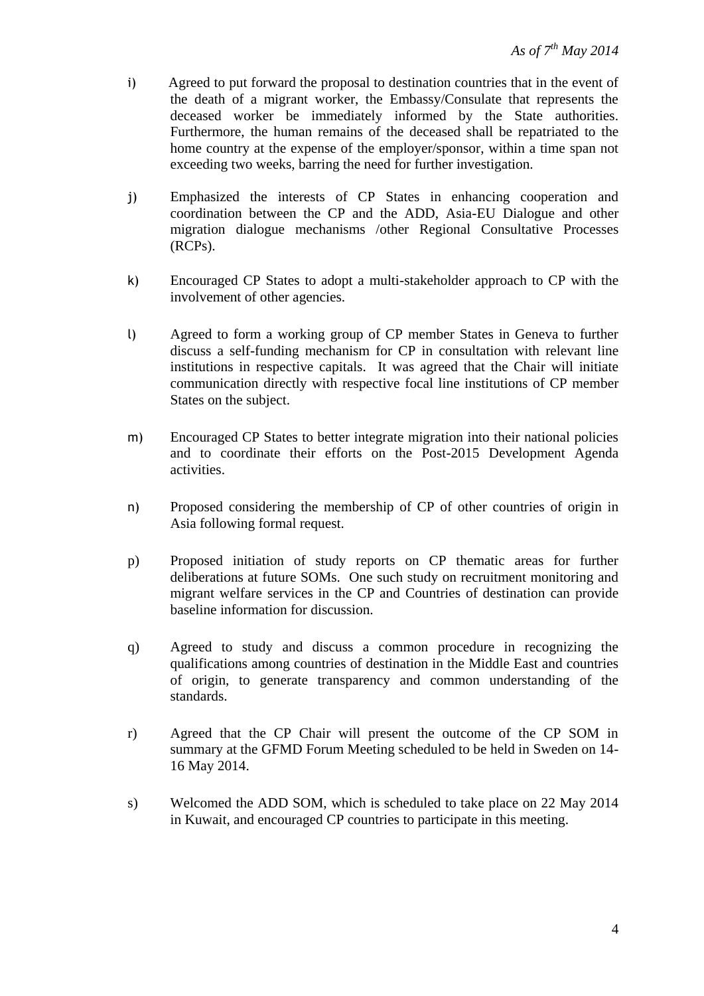- i) Agreed to put forward the proposal to destination countries that in the event of the death of a migrant worker, the Embassy/Consulate that represents the deceased worker be immediately informed by the State authorities. Furthermore, the human remains of the deceased shall be repatriated to the home country at the expense of the employer/sponsor, within a time span not exceeding two weeks, barring the need for further investigation.
- j) Emphasized the interests of CP States in enhancing cooperation and coordination between the CP and the ADD, Asia-EU Dialogue and other migration dialogue mechanisms /other Regional Consultative Processes (RCPs).
- k) Encouraged CP States to adopt a multi-stakeholder approach to CP with the involvement of other agencies.
- l) Agreed to form a working group of CP member States in Geneva to further discuss a self-funding mechanism for CP in consultation with relevant line institutions in respective capitals. It was agreed that the Chair will initiate communication directly with respective focal line institutions of CP member States on the subject.
- m) Encouraged CP States to better integrate migration into their national policies and to coordinate their efforts on the Post-2015 Development Agenda activities.
- n) Proposed considering the membership of CP of other countries of origin in Asia following formal request.
- p) Proposed initiation of study reports on CP thematic areas for further deliberations at future SOMs. One such study on recruitment monitoring and migrant welfare services in the CP and Countries of destination can provide baseline information for discussion.
- q) Agreed to study and discuss a common procedure in recognizing the qualifications among countries of destination in the Middle East and countries of origin, to generate transparency and common understanding of the standards.
- r) Agreed that the CP Chair will present the outcome of the CP SOM in summary at the GFMD Forum Meeting scheduled to be held in Sweden on 14- 16 May 2014.
- s) Welcomed the ADD SOM, which is scheduled to take place on 22 May 2014 in Kuwait, and encouraged CP countries to participate in this meeting.